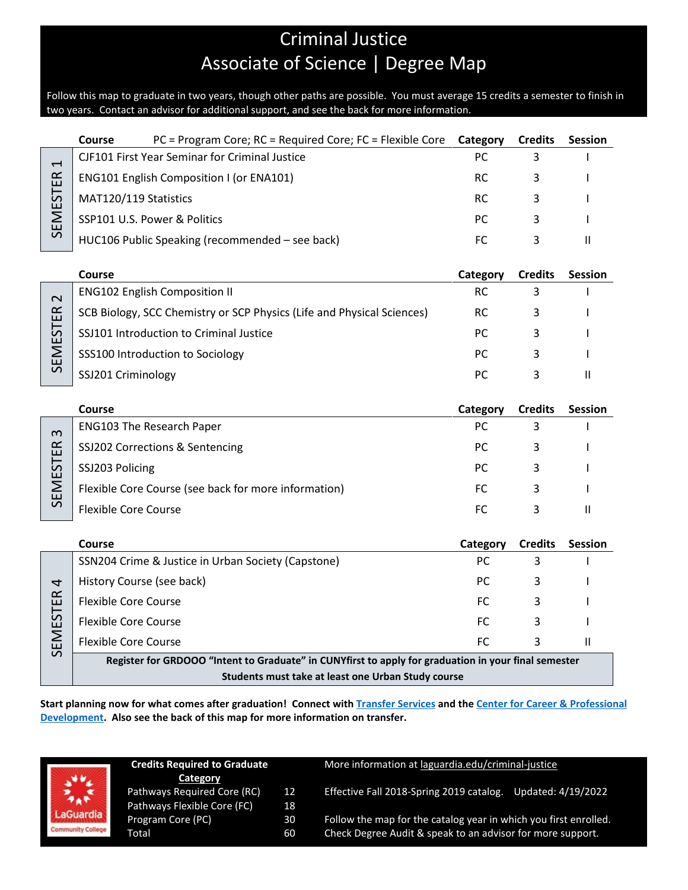## Criminal Justice Associate of Science | Degree Map

Follow this map to graduate in two years, though other paths are possible. You must average 15 credits a semester to finish in two years. Contact an advisor for additional support, and see the back for more information.

|                             | PC = Program Core; RC = Required Core; FC = Flexible Core<br>Course                                  | Category  | <b>Credits</b> | <b>Session</b> |  |  |  |  |  |
|-----------------------------|------------------------------------------------------------------------------------------------------|-----------|----------------|----------------|--|--|--|--|--|
| 4<br>SEMESTER               | CJF101 First Year Seminar for Criminal Justice                                                       | PC        | 3              |                |  |  |  |  |  |
|                             | ENG101 English Composition I (or ENA101)                                                             | <b>RC</b> | 3              |                |  |  |  |  |  |
|                             | MAT120/119 Statistics                                                                                | <b>RC</b> | 3              |                |  |  |  |  |  |
|                             | SSP101 U.S. Power & Politics                                                                         | <b>PC</b> | 3              |                |  |  |  |  |  |
|                             | HUC106 Public Speaking (recommended - see back)                                                      | FC        | 3              | $\mathbf{H}$   |  |  |  |  |  |
|                             |                                                                                                      |           |                |                |  |  |  |  |  |
|                             | Course                                                                                               | Category  | <b>Credits</b> | <b>Session</b> |  |  |  |  |  |
| $\mathbf{\sim}$<br>SEMESTER | <b>ENG102 English Composition II</b>                                                                 | <b>RC</b> | 3              |                |  |  |  |  |  |
|                             | SCB Biology, SCC Chemistry or SCP Physics (Life and Physical Sciences)                               | <b>RC</b> | 3              |                |  |  |  |  |  |
|                             | SSJ101 Introduction to Criminal Justice                                                              | <b>PC</b> | 3              |                |  |  |  |  |  |
|                             | SSS100 Introduction to Sociology                                                                     | <b>PC</b> | 3              |                |  |  |  |  |  |
|                             | SSJ201 Criminology                                                                                   | PC.       | 3              | $\mathbf{H}$   |  |  |  |  |  |
|                             |                                                                                                      |           |                |                |  |  |  |  |  |
|                             | Course                                                                                               | Category  | <b>Credits</b> | <b>Session</b> |  |  |  |  |  |
| m                           | <b>ENG103 The Research Paper</b>                                                                     | PC        | 3              |                |  |  |  |  |  |
|                             | SSJ202 Corrections & Sentencing                                                                      | PC        | 3              |                |  |  |  |  |  |
| <b>SEMESTER</b>             | SSJ203 Policing                                                                                      | <b>PC</b> | 3              |                |  |  |  |  |  |
|                             | Flexible Core Course (see back for more information)                                                 | <b>FC</b> | 3              |                |  |  |  |  |  |
|                             | <b>Flexible Core Course</b>                                                                          | <b>FC</b> | 3              | $\mathbf{H}$   |  |  |  |  |  |
|                             |                                                                                                      |           |                |                |  |  |  |  |  |
|                             | Course                                                                                               | Category  | <b>Credits</b> | <b>Session</b> |  |  |  |  |  |
|                             | SSN204 Crime & Justice in Urban Society (Capstone)                                                   | PC        | 3              |                |  |  |  |  |  |
| 4                           | History Course (see back)                                                                            | PC.       | 3              |                |  |  |  |  |  |
| SEMESTER                    | <b>Flexible Core Course</b>                                                                          | FC        | 3              |                |  |  |  |  |  |
|                             | <b>Flexible Core Course</b>                                                                          | <b>FC</b> | 3              |                |  |  |  |  |  |
|                             | <b>Flexible Core Course</b>                                                                          | <b>FC</b> | 3              | $\mathbf{H}$   |  |  |  |  |  |
|                             | Register for GRDOOO "Intent to Graduate" in CUNYfirst to apply for graduation in your final semester |           |                |                |  |  |  |  |  |
|                             | Students must take at least one Urban Study course                                                   |           |                |                |  |  |  |  |  |

**Start planning now for what comes after graduation! Connect with [Transfer Services](https://www.laguardia.edu/transferservices/) and the [Center for Career & Professional](https://www.laguardia.edu/careerservices/)  [Development.](https://www.laguardia.edu/careerservices/) Also see the back of this map for more information on transfer.**

|                          | <b>Credits Required to Graduate</b><br>Category | More information at laguardia.edu/criminal-justice |                                                                  |  |  |
|--------------------------|-------------------------------------------------|----------------------------------------------------|------------------------------------------------------------------|--|--|
| $\frac{1}{2}$            | Pathways Required Core (RC)                     | 12                                                 | Effective Fall 2018-Spring 2019 catalog.                         |  |  |
|                          | Pathways Flexible Core (FC)                     | 18                                                 | Updated: 4/19/2022                                               |  |  |
| LaGuardia                | Program Core (PC)                               | 30                                                 | Follow the map for the catalog year in which you first enrolled. |  |  |
| <b>Community College</b> | Total                                           | 60                                                 | Check Degree Audit & speak to an advisor for more support.       |  |  |